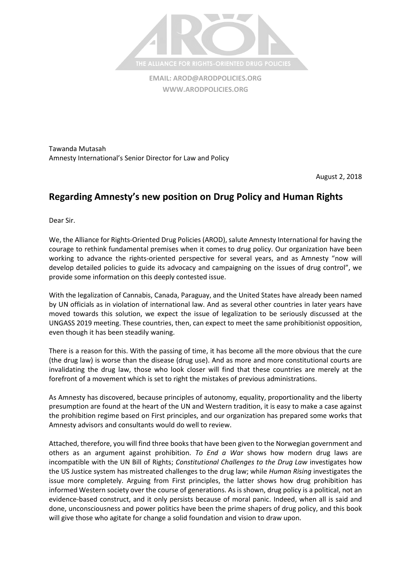

**EMAIL: [AROD@ARODPOLICIES.ORG](mailto:AROD@ARODPOLICIES.ORG) [WWW.ARODPOLICIES.ORG](http://www.arodpolicies.org/)**

Tawanda Mutasah Amnesty International's Senior Director for Law and Policy

August 2, 2018

## **Regarding Amnesty's new position on Drug Policy and Human Rights**

Dear Sir.

We, the Alliance for Rights-Oriented Drug Policies (AROD), salute Amnesty International for having the courage to rethink fundamental premises when it comes to drug policy. Our organization have been working to advance the rights-oriented perspective for several years, and as Amnesty "now will develop detailed policies to guide its advocacy and campaigning on the issues of drug control", we provide some information on this deeply contested issue.

With the legalization of Cannabis, Canada, Paraguay, and the United States have already been named by UN officials as in violation of international law. And as several other countries in later years have moved towards this solution, we expect the issue of legalization to be seriously discussed at the UNGASS 2019 meeting. These countries, then, can expect to meet the same prohibitionist opposition, even though it has been steadily waning.

There is a reason for this. With the passing of time, it has become all the more obvious that the cure (the drug law) is worse than the disease (drug use). And as more and more constitutional courts are invalidating the drug law, those who look closer will find that these countries are merely at the forefront of a movement which is set to right the mistakes of previous administrations.

As Amnesty has discovered, because principles of autonomy, equality, proportionality and the liberty presumption are found at the heart of the UN and Western tradition, it is easy to make a case against the prohibition regime based on First principles, and our organization has prepared some works that Amnesty advisors and consultants would do well to review.

Attached, therefore, you will find three books that have been given to the Norwegian government and others as an argument against prohibition. *To End a War* shows how modern drug laws are incompatible with the UN Bill of Rights; *Constitutional Challenges to the Drug Law* investigates how the US Justice system has mistreated challenges to the drug law; while *Human Rising* investigates the issue more completely. Arguing from First principles, the latter shows how drug prohibition has informed Western society over the course of generations. As is shown, drug policy is a political, not an evidence-based construct, and it only persists because of moral panic. Indeed, when all is said and done, unconsciousness and power politics have been the prime shapers of drug policy, and this book will give those who agitate for change a solid foundation and vision to draw upon.